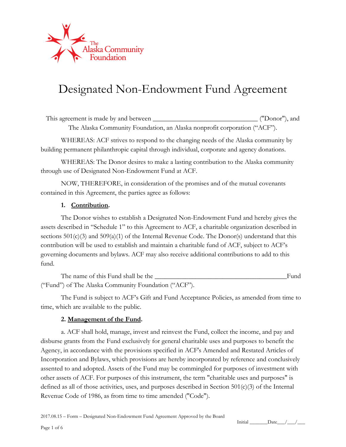

# Designated Non-Endowment Fund Agreement

This agreement is made by and between \_\_\_\_\_\_\_\_\_\_\_\_\_\_\_\_\_\_\_\_\_\_\_\_\_\_\_\_\_\_\_ ("Donor"), and The Alaska Community Foundation, an Alaska nonprofit corporation ("ACF").

WHEREAS: ACF strives to respond to the changing needs of the Alaska community by building permanent philanthropic capital through individual, corporate and agency donations.

WHEREAS: The Donor desires to make a lasting contribution to the Alaska community through use of Designated Non-Endowment Fund at ACF.

NOW, THEREFORE, in consideration of the promises and of the mutual covenants contained in this Agreement, the parties agree as follows:

# **1. Contribution.**

The Donor wishes to establish a Designated Non-Endowment Fund and hereby gives the assets described in "Schedule 1" to this Agreement to ACF, a charitable organization described in sections  $501(c)(3)$  and  $509(a)(1)$  of the Internal Revenue Code. The Donor(s) understand that this contribution will be used to establish and maintain a charitable fund of ACF, subject to ACF's governing documents and bylaws. ACF may also receive additional contributions to add to this fund.

The name of this Fund shall be the \_\_\_\_\_\_\_\_\_\_\_\_\_\_\_\_\_\_\_\_\_\_\_\_\_\_\_\_\_\_\_\_\_\_\_\_\_\_\_Fund ("Fund") of The Alaska Community Foundation ("ACF").

The Fund is subject to ACF's Gift and Fund Acceptance Policies, as amended from time to time, which are available to the public.

#### **2. Management of the Fund.**

a. ACF shall hold, manage, invest and reinvest the Fund, collect the income, and pay and disburse grants from the Fund exclusively for general charitable uses and purposes to benefit the Agency, in accordance with the provisions specified in ACF's Amended and Restated Articles of Incorporation and Bylaws, which provisions are hereby incorporated by reference and conclusively assented to and adopted. Assets of the Fund may be commingled for purposes of investment with other assets of ACF. For purposes of this instrument, the term "charitable uses and purposes" is defined as all of those activities, uses, and purposes described in Section  $501(c)(3)$  of the Internal Revenue Code of 1986, as from time to time amended ("Code").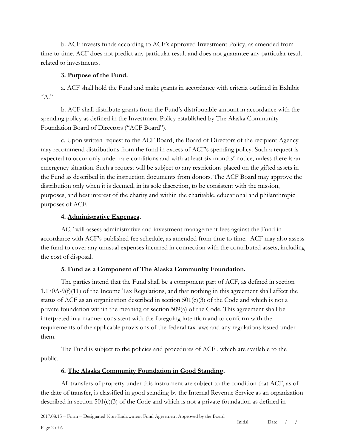b. ACF invests funds according to ACF's approved Investment Policy, as amended from time to time. ACF does not predict any particular result and does not guarantee any particular result related to investments.

# **3. Purpose of the Fund.**

a. ACF shall hold the Fund and make grants in accordance with criteria outlined in Exhibit  $A$ ."

b. ACF shall distribute grants from the Fund's distributable amount in accordance with the spending policy as defined in the Investment Policy established by The Alaska Community Foundation Board of Directors ("ACF Board").

c. Upon written request to the ACF Board, the Board of Directors of the recipient Agency may recommend distributions from the fund in excess of ACF's spending policy. Such a request is expected to occur only under rare conditions and with at least six months' notice, unless there is an emergency situation. Such a request will be subject to any restrictions placed on the gifted assets in the Fund as described in the instruction documents from donors. The ACF Board may approve the distribution only when it is deemed, in its sole discretion, to be consistent with the mission, purposes, and best interest of the charity and within the charitable, educational and philanthropic purposes of ACF.

# **4. Administrative Expenses.**

ACF will assess administrative and investment management fees against the Fund in accordance with ACF's published fee schedule, as amended from time to time. ACF may also assess the fund to cover any unusual expenses incurred in connection with the contributed assets, including the cost of disposal.

# **5. Fund as a Component of The Alaska Community Foundation.**

The parties intend that the Fund shall be a component part of ACF, as defined in section 1.170A-9(f)(11) of the Income Tax Regulations, and that nothing in this agreement shall affect the status of ACF as an organization described in section  $501(c)(3)$  of the Code and which is not a private foundation within the meaning of section 509(a) of the Code. This agreement shall be interpreted in a manner consistent with the foregoing intention and to conform with the requirements of the applicable provisions of the federal tax laws and any regulations issued under them.

The Fund is subject to the policies and procedures of ACF , which are available to the public.

# **6. The Alaska Community Foundation in Good Standing.**

All transfers of property under this instrument are subject to the condition that ACF, as of the date of transfer, is classified in good standing by the Internal Revenue Service as an organization described in section  $501(c)(3)$  of the Code and which is not a private foundation as defined in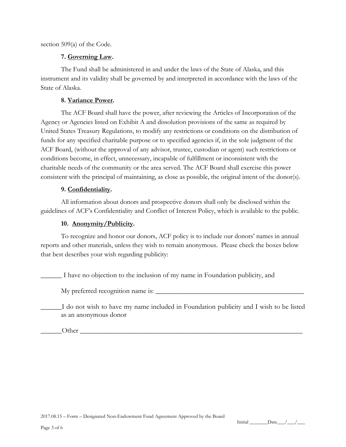section 509(a) of the Code.

#### **7. Governing Law.**

The Fund shall be administered in and under the laws of the State of Alaska, and this instrument and its validity shall be governed by and interpreted in accordance with the laws of the State of Alaska.

#### **8. Variance Power.**

The ACF Board shall have the power, after reviewing the Articles of Incorporation of the Agency or Agencies listed on Exhibit A and dissolution provisions of the same as required by United States Treasury Regulations, to modify any restrictions or conditions on the distribution of funds for any specified charitable purpose or to specified agencies if, in the sole judgment of the ACF Board, (without the approval of any advisor, trustee, custodian or agent) such restrictions or conditions become, in effect, unnecessary, incapable of fulfillment or inconsistent with the charitable needs of the community or the area served. The ACF Board shall exercise this power consistent with the principal of maintaining, as close as possible, the original intent of the donor(s).

# **9. Confidentiality.**

All information about donors and prospective donors shall only be disclosed within the guidelines of ACF's Confidentiality and Conflict of Interest Policy, which is available to the public.

# **10. Anonymity/Publicity.**

To recognize and honor our donors, ACF policy is to include our donors' names in annual reports and other materials, unless they wish to remain anonymous. Please check the boxes below that best describes your wish regarding publicity:

\_\_\_\_\_\_ I have no objection to the inclusion of my name in Foundation publicity, and

My preferred recognition name is:

\_\_\_\_\_\_I do not wish to have my name included in Foundation publicity and I wish to be listed as an anonymous donor

Other  $\Box$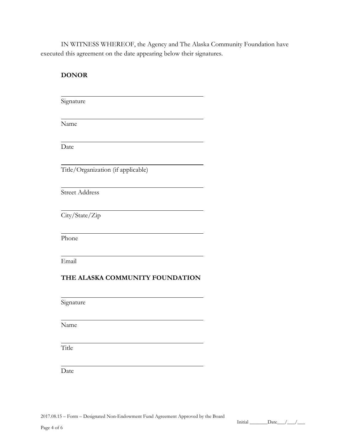IN WITNESS WHEREOF, the Agency and The Alaska Community Foundation have executed this agreement on the date appearing below their signatures.

| <b>DONOR</b>                       |  |
|------------------------------------|--|
| Signature                          |  |
| Name                               |  |
| Date                               |  |
| Title/Organization (if applicable) |  |
| <b>Street Address</b>              |  |
| City/State/Zip                     |  |
| Phone                              |  |
| Email                              |  |
| THE ALASKA COMMUNITY FOUNDATION    |  |
| Signature                          |  |
| Name                               |  |
| Title                              |  |
| Date                               |  |

2017.08.15 – Form – Designated Non-Endowment Fund Agreement Approved by the Board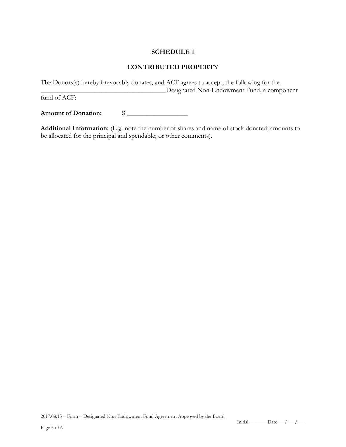# **SCHEDULE 1**

# **CONTRIBUTED PROPERTY**

The Donors(s) hereby irrevocably donates, and ACF agrees to accept, the following for the \_\_\_\_\_\_\_\_\_\_\_\_\_\_\_\_\_\_\_\_\_\_\_\_\_\_\_\_\_\_\_\_\_\_\_\_\_Designated Non-Endowment Fund, a component

fund of ACF:

**Amount of Donation:** \$ \_\_\_\_\_\_\_\_\_\_\_\_\_\_\_\_\_\_

**Additional Information:** (E.g. note the number of shares and name of stock donated; amounts to be allocated for the principal and spendable; or other comments).